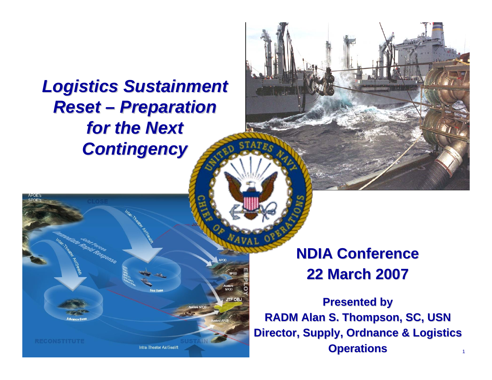## *Logistics Sustainment Logistics Sustainment Reset – Preparation Preparation*  for the Next *Contingency Contingency*

## **NDIA Conference NDIA Conference22 March 2007 22 March 2007**

1**Presented by Presented by RADM Alan S. Thompson, SC, USN RADM Alan S. Thompson, SC, USN Director, Supply, Ordnance & Logistics Operations Operations**

Intra-Theater Air/Sealift

**JTF OB.**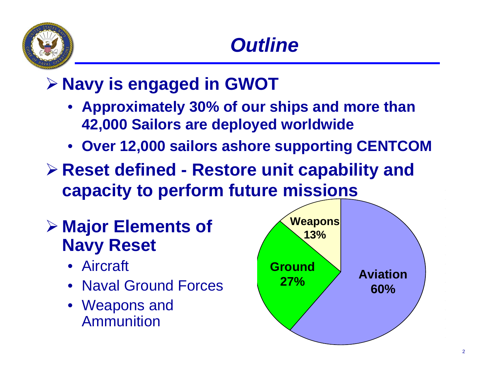

## ¾ **Navy is engaged in GWOT**

- **Approximately 30% of our ships and more than 42,000 Sailors are deployed worldwide**
- **Over 12,000 sailors ashore supporting CENTCOM**
- ¾ **Reset defined - Restore unit capability and capacity to perform future missions**
- ¾ **Major Elements of Navy Reset**
	- Aircraft
	- Naval Ground Forces
	- Weapons and Ammunition

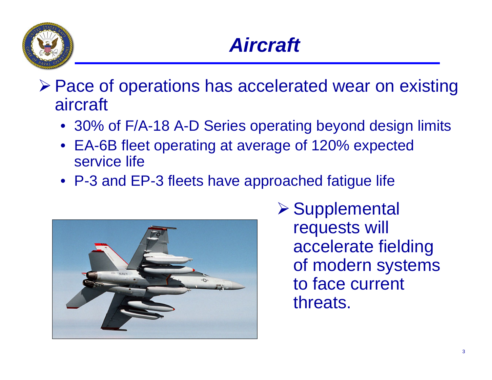

- ¾ Pace of operations has accelerated wear on existing aircraft
	- 30% of F/A-18 A-D Series operating beyond design limits
	- EA-6B fleet operating at average of 120% expected service life
	- P-3 and EP-3 fleets have approached fatigue life



**≻ Supplemental** requests will accelerate fielding of modern systems to face current threats.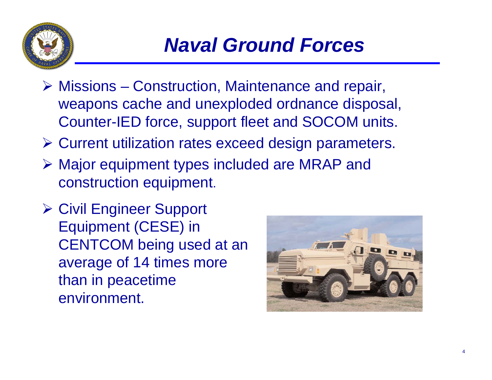

- ¾ Missions Construction, Maintenance and repair, weapons cache and unexploded ordnance disposal, Counter-IED force, support fleet and SOCOM units.
- ¾ Current utilization rates exceed design parameters.
- ¾ Major equipment types included are MRAP and construction equipment.
- **≻ Civil Engineer Support** Equipment (CESE) in CENTCOM being used at an average of 14 times more than in peacetime environment.